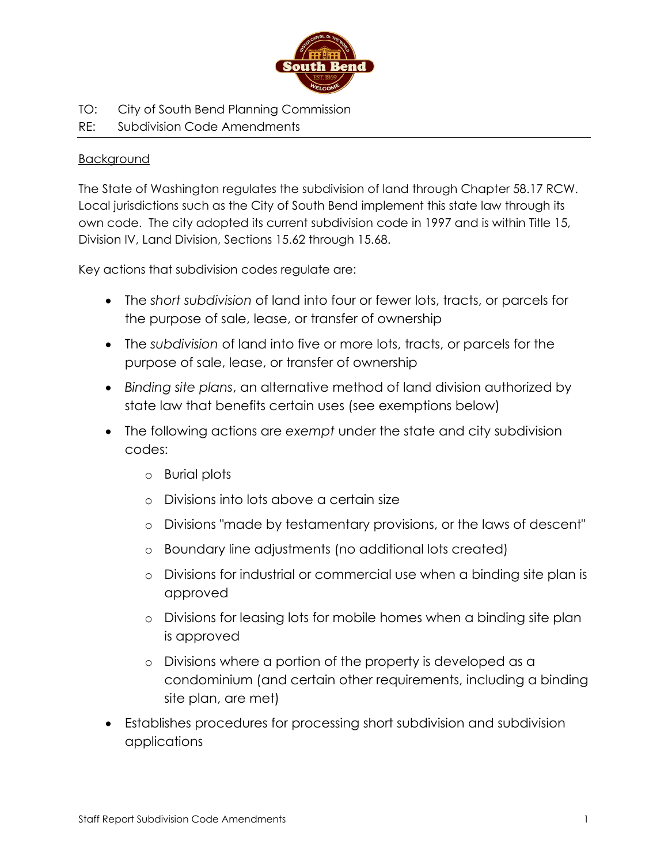

TO: City of South Bend Planning Commission

# RE: Subdivision Code Amendments

## **Background**

The State of Washington regulates the subdivision of land through Chapter 58.17 RCW. Local jurisdictions such as the City of South Bend implement this state law through its own code. The city adopted its current subdivision code in 1997 and is within Title 15, Division IV, Land Division, Sections 15.62 through 15.68.

Key actions that subdivision codes regulate are:

- The *short subdivision* of land into four or fewer lots, tracts, or parcels for the purpose of sale, lease, or transfer of ownership
- The *subdivision* of land into five or more lots, tracts, or parcels for the purpose of sale, lease, or transfer of ownership
- *Binding site plans*, an alternative method of land division authorized by state law that benefits certain uses (see exemptions below)
- The following actions are *exempt* under the state and city subdivision codes:
	- o Burial plots
	- o Divisions into lots above a certain size
	- o Divisions "made by testamentary provisions, or the laws of descent"
	- o Boundary line adjustments (no additional lots created)
	- o Divisions for industrial or commercial use when a binding site plan is approved
	- o Divisions for leasing lots for mobile homes when a binding site plan is approved
	- o Divisions where a portion of the property is developed as a condominium (and certain other requirements, including a binding site plan, are met)
- Establishes procedures for processing short subdivision and subdivision applications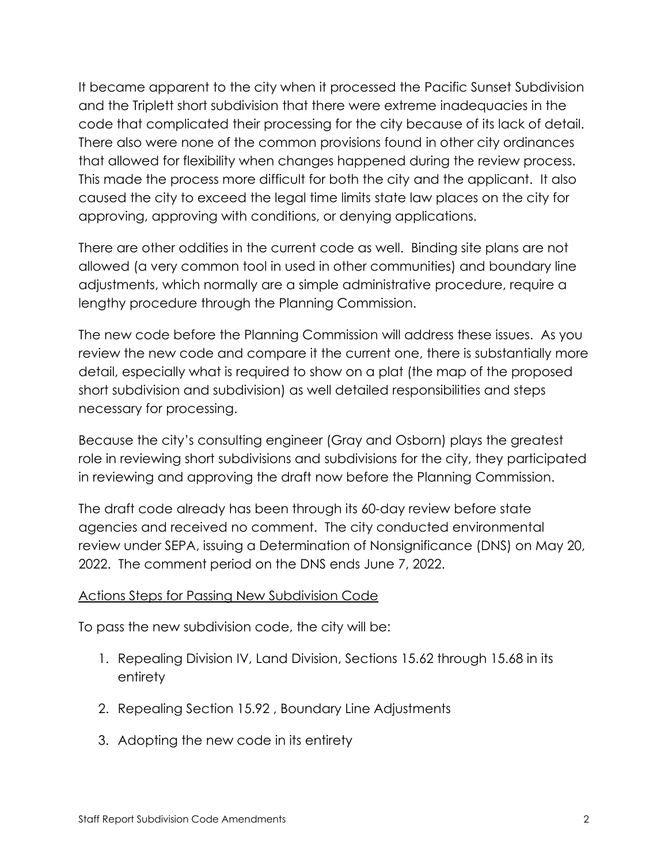It became apparent to the city when it processed the Pacific Sunset Subdivision and the Triplett short subdivision that there were extreme inadequacies in the code that complicated their processing for the city because of its lack of detail. There also were none of the common provisions found in other city ordinances that allowed for flexibility when changes happened during the review process. This made the process more difficult for both the city and the applicant. It also caused the city to exceed the legal time limits state law places on the city for approving, approving with conditions, or denying applications.

There are other oddities in the current code as well. Binding site plans are not allowed (a very common tool in used in other communities) and boundary line adjustments, which normally are a simple administrative procedure, require a lengthy procedure through the Planning Commission.

The new code before the Planning Commission will address these issues. As you review the new code and compare it the current one, there is substantially more detail, especially what is required to show on a plat (the map of the proposed short subdivision and subdivision) as well detailed responsibilities and steps necessary for processing.

Because the city's consulting engineer (Gray and Osborn) plays the greatest role in reviewing short subdivisions and subdivisions for the city, they participated in reviewing and approving the draft now before the Planning Commission.

The draft code already has been through its 60-day review before state agencies and received no comment. The city conducted environmental review under SEPA, issuing a Determination of Nonsignificance (DNS) on May 20, 2022. The comment period on the DNS ends June 7, 2022.

# Actions Steps for Passing New Subdivision Code

To pass the new subdivision code, the city will be:

- 1. Repealing Division IV, Land Division, Sections 15.62 through 15.68 in its entirety
- 2. Repealing Section 15.92 , Boundary Line Adjustments
- 3. Adopting the new code in its entirety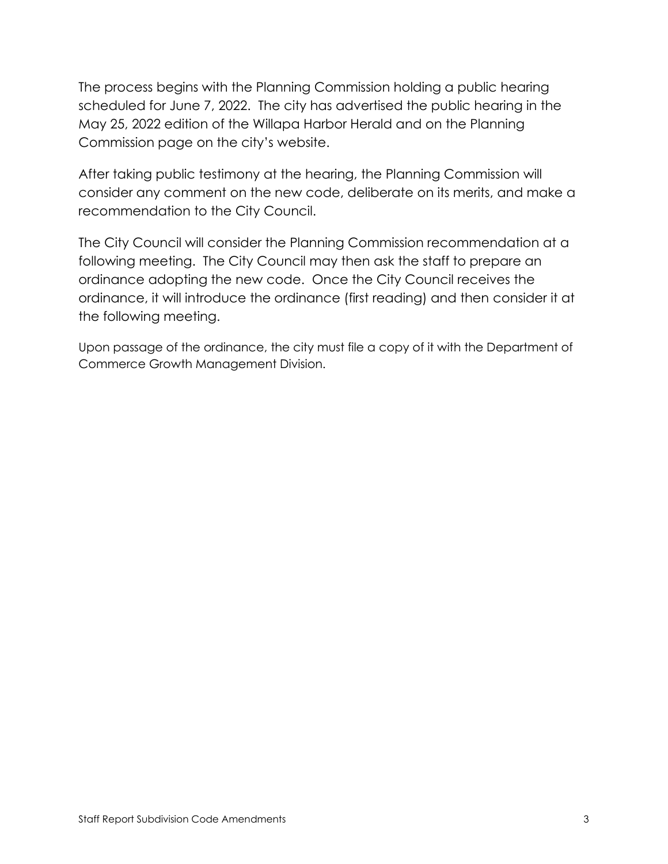The process begins with the Planning Commission holding a public hearing scheduled for June 7, 2022. The city has advertised the public hearing in the May 25, 2022 edition of the Willapa Harbor Herald and on the Planning Commission page on the city's website.

After taking public testimony at the hearing, the Planning Commission will consider any comment on the new code, deliberate on its merits, and make a recommendation to the City Council.

The City Council will consider the Planning Commission recommendation at a following meeting. The City Council may then ask the staff to prepare an ordinance adopting the new code. Once the City Council receives the ordinance, it will introduce the ordinance (first reading) and then consider it at the following meeting.

Upon passage of the ordinance, the city must file a copy of it with the Department of Commerce Growth Management Division.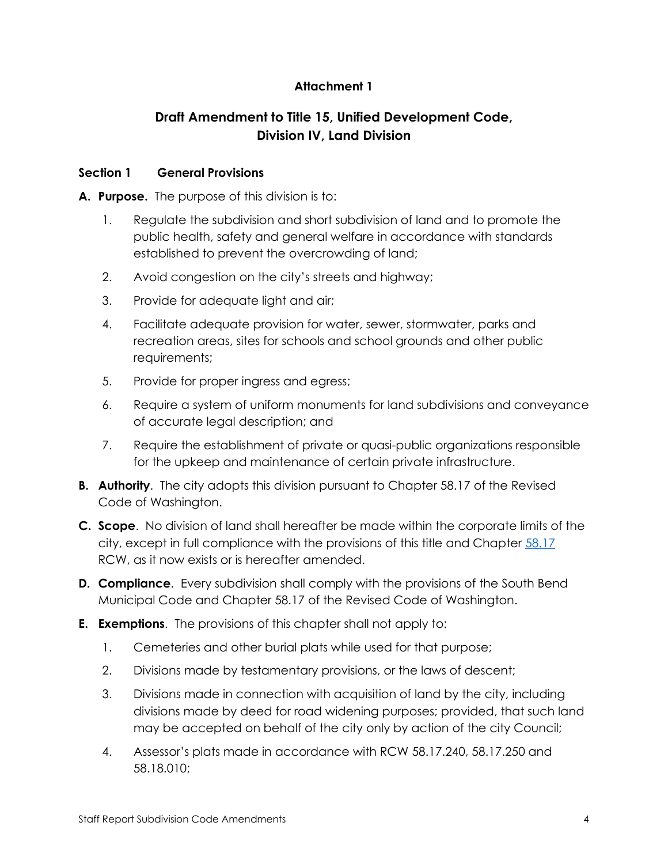# **Attachment 1**

# **Draft Amendment to Title 15, Unified Development Code, Division IV, Land Division**

# **Section 1 General Provisions**

## **A. Purpose.** The purpose of this division is to:

- 1. Regulate the subdivision and short subdivision of land and to promote the public health, safety and general welfare in accordance with standards established to prevent the overcrowding of land;
- 2. Avoid congestion on the city's streets and highway;
- 3. Provide for adequate light and air;
- 4. Facilitate adequate provision for water, sewer, stormwater, parks and recreation areas, sites for schools and school grounds and other public requirements;
- 5. Provide for proper ingress and egress;
- 6. Require a system of uniform monuments for land subdivisions and conveyance of accurate legal description; and
- 7. Require the establishment of private or quasi-public organizations responsible for the upkeep and maintenance of certain private infrastructure.
- **B. Authority**. The city adopts this division pursuant to Chapter 58.17 of the Revised Code of Washington.
- **C. Scope**. No division of land shall hereafter be made within the corporate limits of the city, except in full compliance with the provisions of this title and Chapter [58.17](https://www.codepublishing.com/cgi-bin/rcw.pl?cite=58.17) RCW, as it now exists or is hereafter amended.
- **D. Compliance**. Every subdivision shall comply with the provisions of the South Bend Municipal Code and Chapter 58.17 of the Revised Code of Washington.
- **E. Exemptions**. The provisions of this chapter shall not apply to:
	- 1. Cemeteries and other burial plats while used for that purpose;
	- 2. Divisions made by testamentary provisions, or the laws of descent;
	- 3. Divisions made in connection with acquisition of land by the city, including divisions made by deed for road widening purposes; provided, that such land may be accepted on behalf of the city only by action of the city Council;
	- 4. Assessor's plats made in accordance with RCW 58.17.240, 58.17.250 and 58.18.010;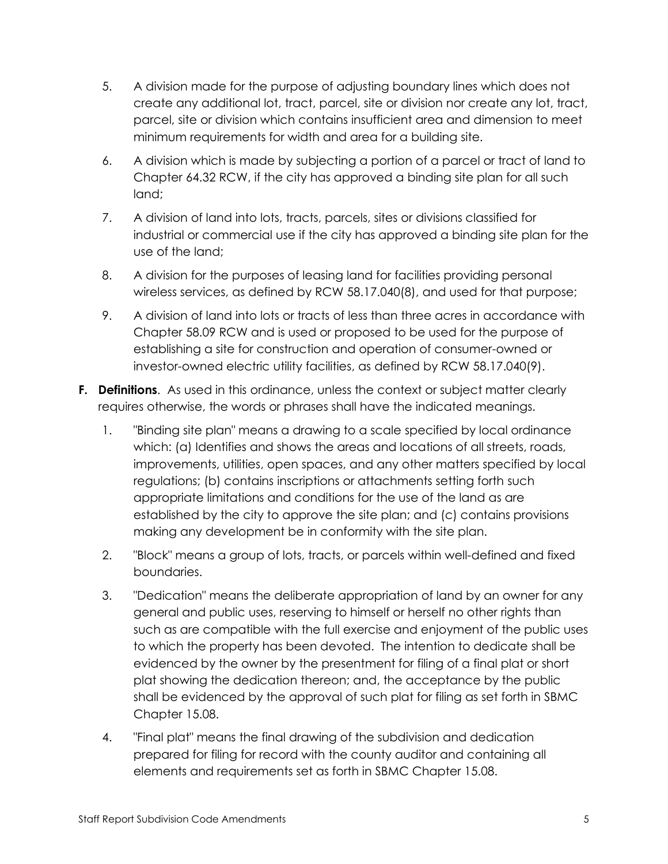- 5. A division made for the purpose of adjusting boundary lines which does not create any additional lot, tract, parcel, site or division nor create any lot, tract, parcel, site or division which contains insufficient area and dimension to meet minimum requirements for width and area for a building site.
- 6. A division which is made by subjecting a portion of a parcel or tract of land to Chapter 64.32 RCW, if the city has approved a binding site plan for all such land;
- 7. A division of land into lots, tracts, parcels, sites or divisions classified for industrial or commercial use if the city has approved a binding site plan for the use of the land;
- 8. A division for the purposes of leasing land for facilities providing personal wireless services, as defined by RCW 58.17.040(8), and used for that purpose;
- 9. A division of land into lots or tracts of less than three acres in accordance with Chapter 58.09 RCW and is used or proposed to be used for the purpose of establishing a site for construction and operation of consumer-owned or investor-owned electric utility facilities, as defined by RCW 58.17.040(9).
- **F. Definitions**. As used in this ordinance, unless the context or subject matter clearly requires otherwise, the words or phrases shall have the indicated meanings.
	- 1. "Binding site plan" means a drawing to a scale specified by local ordinance which: (a) Identifies and shows the areas and locations of all streets, roads, improvements, utilities, open spaces, and any other matters specified by local regulations; (b) contains inscriptions or attachments setting forth such appropriate limitations and conditions for the use of the land as are established by the city to approve the site plan; and (c) contains provisions making any development be in conformity with the site plan.
	- 2. "Block" means a group of lots, tracts, or parcels within well-defined and fixed boundaries.
	- 3. "Dedication" means the deliberate appropriation of land by an owner for any general and public uses, reserving to himself or herself no other rights than such as are compatible with the full exercise and enjoyment of the public uses to which the property has been devoted. The intention to dedicate shall be evidenced by the owner by the presentment for filing of a final plat or short plat showing the dedication thereon; and, the acceptance by the public shall be evidenced by the approval of such plat for filing as set forth in SBMC Chapter 15.08.
	- 4. "Final plat" means the final drawing of the subdivision and dedication prepared for filing for record with the county auditor and containing all elements and requirements set as forth in SBMC Chapter 15.08.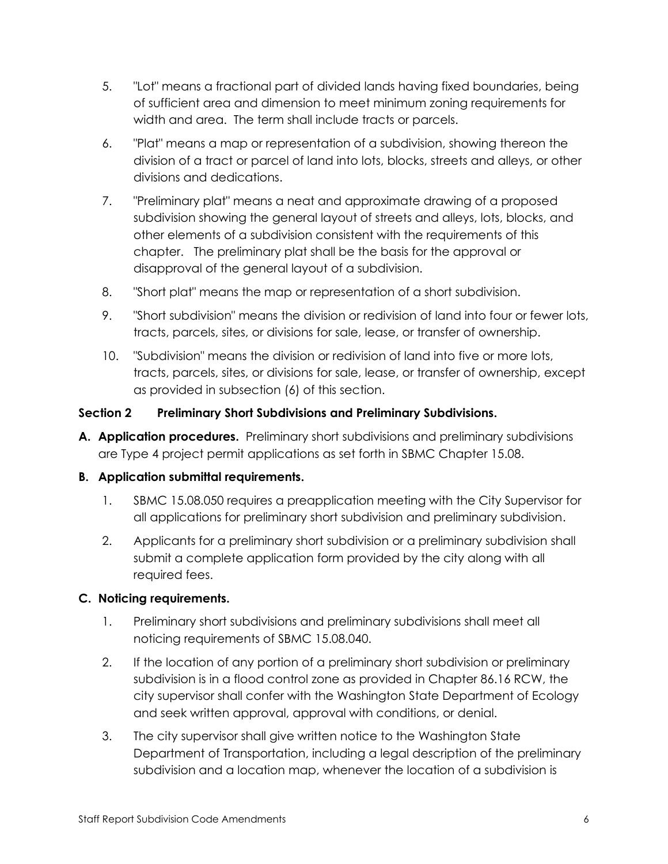- 5. "Lot" means a fractional part of divided lands having fixed boundaries, being of sufficient area and dimension to meet minimum zoning requirements for width and area. The term shall include tracts or parcels.
- 6. "Plat" means a map or representation of a subdivision, showing thereon the division of a tract or parcel of land into lots, blocks, streets and alleys, or other divisions and dedications.
- 7. "Preliminary plat" means a neat and approximate drawing of a proposed subdivision showing the general layout of streets and alleys, lots, blocks, and other elements of a subdivision consistent with the requirements of this chapter. The preliminary plat shall be the basis for the approval or disapproval of the general layout of a subdivision.
- 8. "Short plat" means the map or representation of a short subdivision.
- 9. "Short subdivision" means the division or redivision of land into four or fewer lots, tracts, parcels, sites, or divisions for sale, lease, or transfer of ownership.
- 10. "Subdivision" means the division or redivision of land into five or more lots, tracts, parcels, sites, or divisions for sale, lease, or transfer of ownership, except as provided in subsection (6) of this section.

## **Section 2 Preliminary Short Subdivisions and Preliminary Subdivisions.**

**A. Application procedures.** Preliminary short subdivisions and preliminary subdivisions are Type 4 project permit applications as set forth in SBMC Chapter 15.08.

# **B. Application submittal requirements.**

- 1. SBMC 15.08.050 requires a preapplication meeting with the City Supervisor for all applications for preliminary short subdivision and preliminary subdivision.
- 2. Applicants for a preliminary short subdivision or a preliminary subdivision shall submit a complete application form provided by the city along with all required fees.

## **C. Noticing requirements.**

- 1. Preliminary short subdivisions and preliminary subdivisions shall meet all noticing requirements of SBMC 15.08.040.
- 2. If the location of any portion of a preliminary short subdivision or preliminary subdivision is in a flood control zone as provided in Chapter 86.16 RCW, the city supervisor shall confer with the Washington State Department of Ecology and seek written approval, approval with conditions, or denial.
- 3. The city supervisor shall give written notice to the Washington State Department of Transportation, including a legal description of the preliminary subdivision and a location map, whenever the location of a subdivision is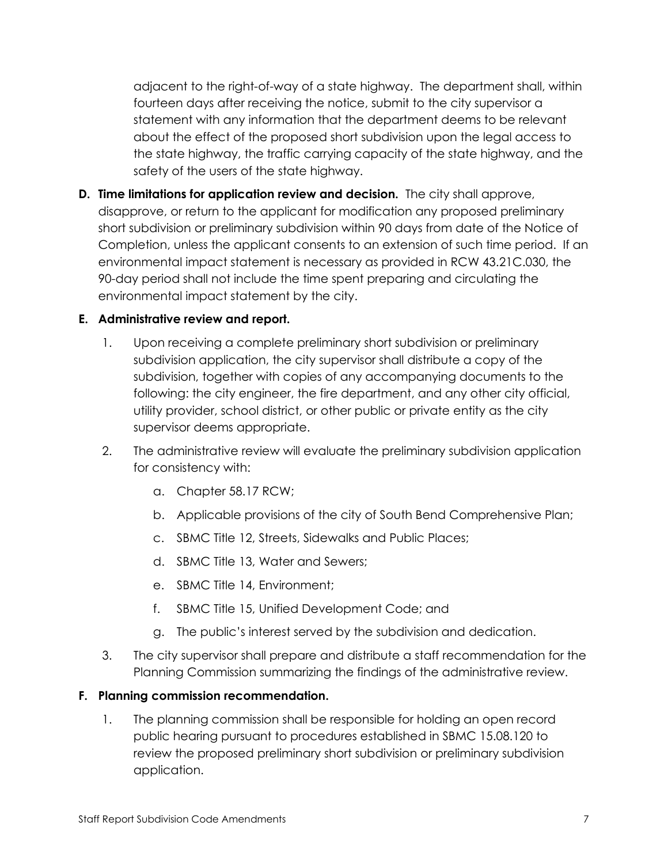adjacent to the right-of-way of a state highway. The department shall, within fourteen days after receiving the notice, submit to the city supervisor a statement with any information that the department deems to be relevant about the effect of the proposed short subdivision upon the legal access to the state highway, the traffic carrying capacity of the state highway, and the safety of the users of the state highway.

**D. Time limitations for application review and decision.** The city shall approve, disapprove, or return to the applicant for modification any proposed preliminary short subdivision or preliminary subdivision within 90 days from date of the Notice of Completion, unless the applicant consents to an extension of such time period. If an environmental impact statement is necessary as provided in RCW 43.21C.030, the 90-day period shall not include the time spent preparing and circulating the environmental impact statement by the city.

## **E. Administrative review and report.**

- 1. Upon receiving a complete preliminary short subdivision or preliminary subdivision application, the city supervisor shall distribute a copy of the subdivision, together with copies of any accompanying documents to the following: the city engineer, the fire department, and any other city official, utility provider, school district, or other public or private entity as the city supervisor deems appropriate.
- 2. The administrative review will evaluate the preliminary subdivision application for consistency with:
	- a. Chapter 58.17 RCW;
	- b. Applicable provisions of the city of South Bend Comprehensive Plan;
	- c. SBMC Title 12, Streets, Sidewalks and Public Places;
	- d. SBMC Title 13, Water and Sewers;
	- e. SBMC Title 14, Environment;
	- f. SBMC Title 15, Unified Development Code; and
	- g. The public's interest served by the subdivision and dedication.
- 3. The city supervisor shall prepare and distribute a staff recommendation for the Planning Commission summarizing the findings of the administrative review.

## **F. Planning commission recommendation.**

1. The planning commission shall be responsible for holding an open record public hearing pursuant to procedures established in SBMC 15.08.120 to review the proposed preliminary short subdivision or preliminary subdivision application.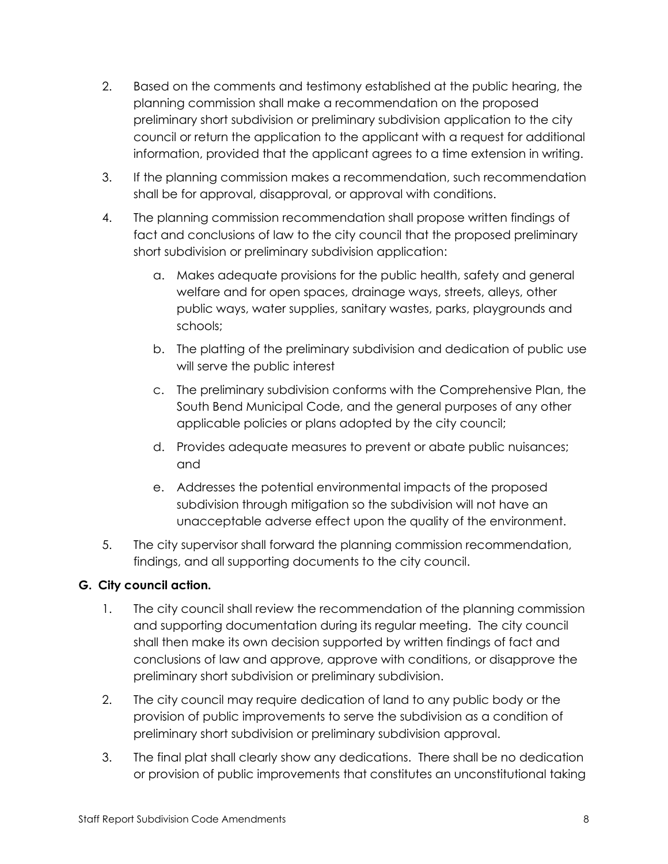- 2. Based on the comments and testimony established at the public hearing, the planning commission shall make a recommendation on the proposed preliminary short subdivision or preliminary subdivision application to the city council or return the application to the applicant with a request for additional information, provided that the applicant agrees to a time extension in writing.
- 3. If the planning commission makes a recommendation, such recommendation shall be for approval, disapproval, or approval with conditions.
- 4. The planning commission recommendation shall propose written findings of fact and conclusions of law to the city council that the proposed preliminary short subdivision or preliminary subdivision application:
	- a. Makes adequate provisions for the public health, safety and general welfare and for open spaces, drainage ways, streets, alleys, other public ways, water supplies, sanitary wastes, parks, playgrounds and schools;
	- b. The platting of the preliminary subdivision and dedication of public use will serve the public interest
	- c. The preliminary subdivision conforms with the Comprehensive Plan, the South Bend Municipal Code, and the general purposes of any other applicable policies or plans adopted by the city council;
	- d. Provides adequate measures to prevent or abate public nuisances; and
	- e. Addresses the potential environmental impacts of the proposed subdivision through mitigation so the subdivision will not have an unacceptable adverse effect upon the quality of the environment.
- 5. The city supervisor shall forward the planning commission recommendation, findings, and all supporting documents to the city council.

# **G. City council action.**

- 1. The city council shall review the recommendation of the planning commission and supporting documentation during its regular meeting. The city council shall then make its own decision supported by written findings of fact and conclusions of law and approve, approve with conditions, or disapprove the preliminary short subdivision or preliminary subdivision.
- 2. The city council may require dedication of land to any public body or the provision of public improvements to serve the subdivision as a condition of preliminary short subdivision or preliminary subdivision approval.
- 3. The final plat shall clearly show any dedications. There shall be no dedication or provision of public improvements that constitutes an unconstitutional taking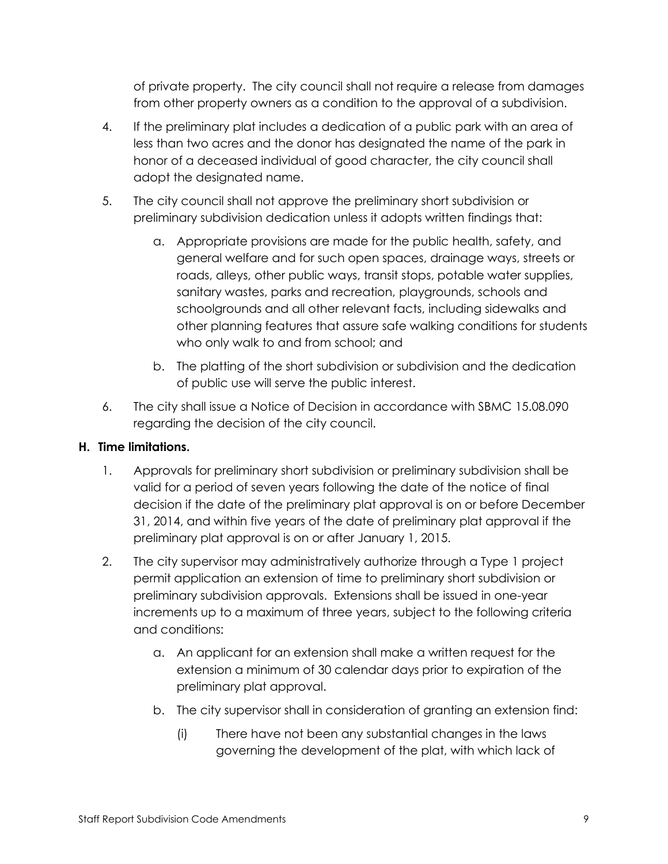of private property. The city council shall not require a release from damages from other property owners as a condition to the approval of a subdivision.

- 4. If the preliminary plat includes a dedication of a public park with an area of less than two acres and the donor has designated the name of the park in honor of a deceased individual of good character, the city council shall adopt the designated name.
- 5. The city council shall not approve the preliminary short subdivision or preliminary subdivision dedication unless it adopts written findings that:
	- a. Appropriate provisions are made for the public health, safety, and general welfare and for such open spaces, drainage ways, streets or roads, alleys, other public ways, transit stops, potable water supplies, sanitary wastes, parks and recreation, playgrounds, schools and schoolgrounds and all other relevant facts, including sidewalks and other planning features that assure safe walking conditions for students who only walk to and from school; and
	- b. The platting of the short subdivision or subdivision and the dedication of public use will serve the public interest.
- 6. The city shall issue a Notice of Decision in accordance with SBMC 15.08.090 regarding the decision of the city council.

# **H. Time limitations.**

- 1. Approvals for preliminary short subdivision or preliminary subdivision shall be valid for a period of seven years following the date of the notice of final decision if the date of the preliminary plat approval is on or before December 31, 2014, and within five years of the date of preliminary plat approval if the preliminary plat approval is on or after January 1, 2015.
- 2. The city supervisor may administratively authorize through a Type 1 project permit application an extension of time to preliminary short subdivision or preliminary subdivision approvals. Extensions shall be issued in one-year increments up to a maximum of three years, subject to the following criteria and conditions:
	- a. An applicant for an extension shall make a written request for the extension a minimum of 30 calendar days prior to expiration of the preliminary plat approval.
	- b. The city supervisor shall in consideration of granting an extension find:
		- (i) There have not been any substantial changes in the laws governing the development of the plat, with which lack of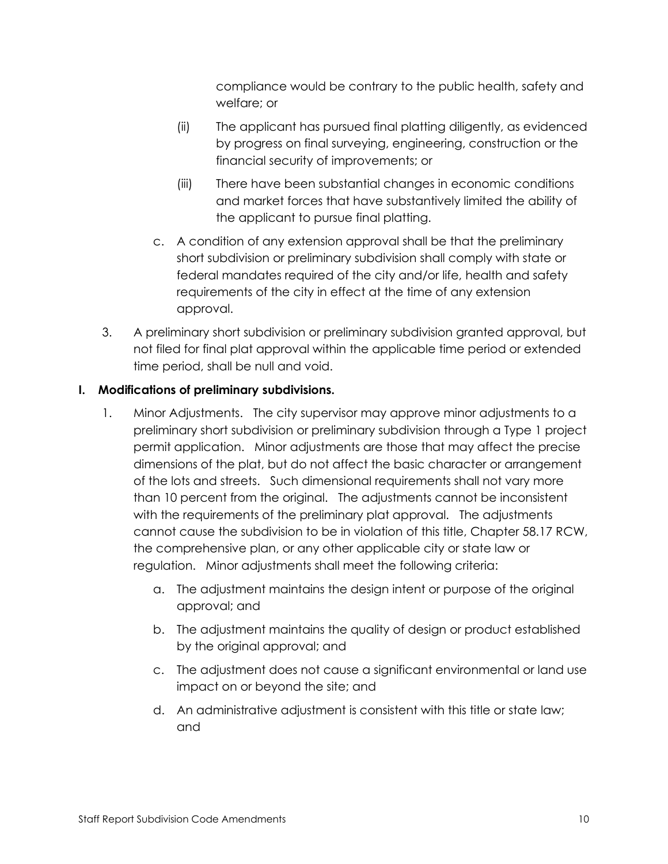compliance would be contrary to the public health, safety and welfare; or

- (ii) The applicant has pursued final platting diligently, as evidenced by progress on final surveying, engineering, construction or the financial security of improvements; or
- (iii) There have been substantial changes in economic conditions and market forces that have substantively limited the ability of the applicant to pursue final platting.
- c. A condition of any extension approval shall be that the preliminary short subdivision or preliminary subdivision shall comply with state or federal mandates required of the city and/or life, health and safety requirements of the city in effect at the time of any extension approval.
- 3. A preliminary short subdivision or preliminary subdivision granted approval, but not filed for final plat approval within the applicable time period or extended time period, shall be null and void.

# **I. Modifications of preliminary subdivisions.**

- 1. Minor Adjustments. The city supervisor may approve minor adjustments to a preliminary short subdivision or preliminary subdivision through a Type 1 project permit application. Minor adjustments are those that may affect the precise dimensions of the plat, but do not affect the basic character or arrangement of the lots and streets. Such dimensional requirements shall not vary more than 10 percent from the original. The adjustments cannot be inconsistent with the requirements of the preliminary plat approval. The adjustments cannot cause the subdivision to be in violation of this title, Chapter 58.17 RCW, the comprehensive plan, or any other applicable city or state law or regulation. Minor adjustments shall meet the following criteria:
	- a. The adjustment maintains the design intent or purpose of the original approval; and
	- b. The adjustment maintains the quality of design or product established by the original approval; and
	- c. The adjustment does not cause a significant environmental or land use impact on or beyond the site; and
	- d. An administrative adjustment is consistent with this title or state law; and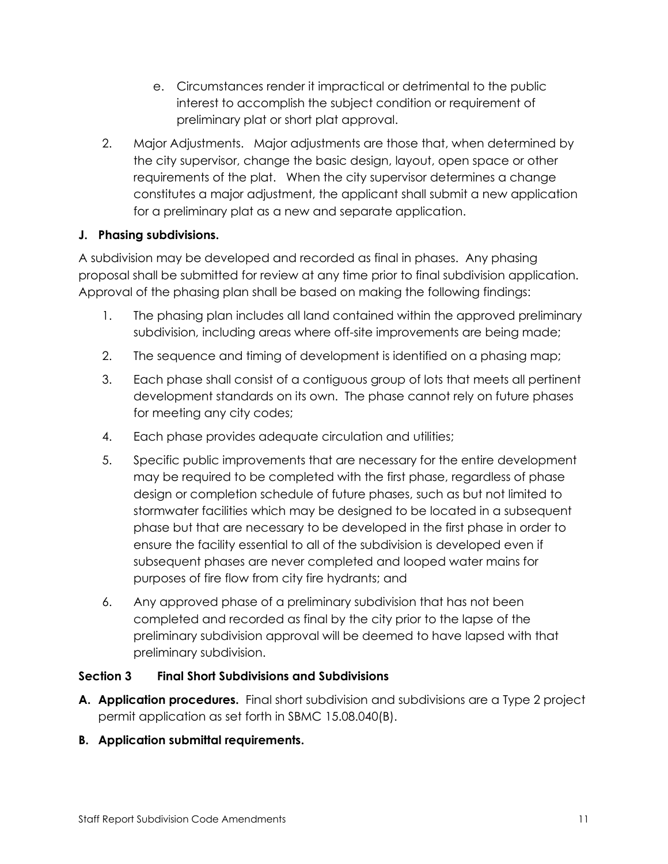- e. Circumstances render it impractical or detrimental to the public interest to accomplish the subject condition or requirement of preliminary plat or short plat approval.
- 2. Major Adjustments. Major adjustments are those that, when determined by the city supervisor, change the basic design, layout, open space or other requirements of the plat. When the city supervisor determines a change constitutes a major adjustment, the applicant shall submit a new application for a preliminary plat as a new and separate application.

## **J. Phasing subdivisions.**

A subdivision may be developed and recorded as final in phases. Any phasing proposal shall be submitted for review at any time prior to final subdivision application. Approval of the phasing plan shall be based on making the following findings:

- 1. The phasing plan includes all land contained within the approved preliminary subdivision, including areas where off-site improvements are being made;
- 2. The sequence and timing of development is identified on a phasing map;
- 3. Each phase shall consist of a contiguous group of lots that meets all pertinent development standards on its own. The phase cannot rely on future phases for meeting any city codes;
- 4. Each phase provides adequate circulation and utilities;
- 5. Specific public improvements that are necessary for the entire development may be required to be completed with the first phase, regardless of phase design or completion schedule of future phases, such as but not limited to stormwater facilities which may be designed to be located in a subsequent phase but that are necessary to be developed in the first phase in order to ensure the facility essential to all of the subdivision is developed even if subsequent phases are never completed and looped water mains for purposes of fire flow from city fire hydrants; and
- 6. Any approved phase of a preliminary subdivision that has not been completed and recorded as final by the city prior to the lapse of the preliminary subdivision approval will be deemed to have lapsed with that preliminary subdivision.

## **Section 3 Final Short Subdivisions and Subdivisions**

- **A. Application procedures.** Final short subdivision and subdivisions are a Type 2 project permit application as set forth in SBMC 15.08.040(B).
- **B. Application submittal requirements.**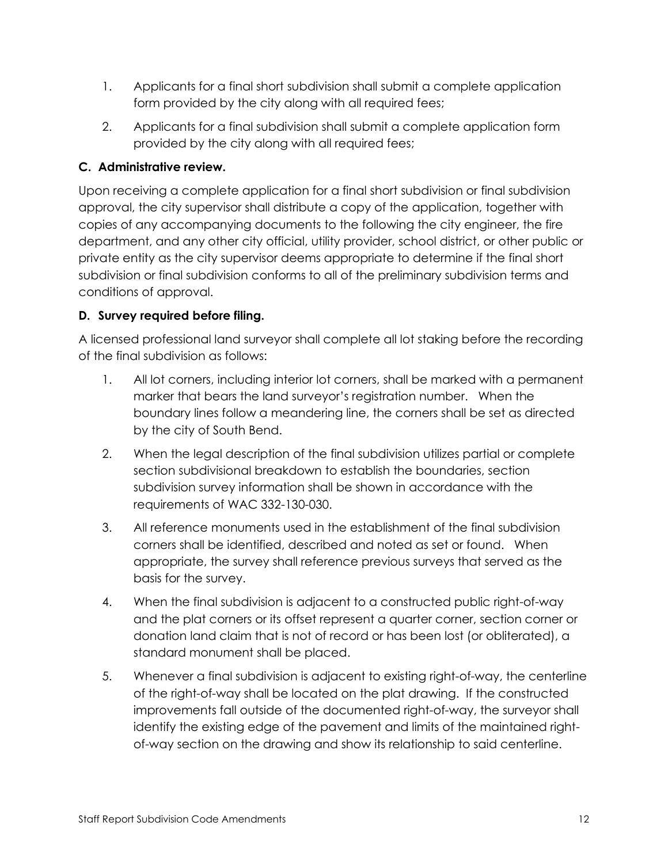- 1. Applicants for a final short subdivision shall submit a complete application form provided by the city along with all required fees;
- 2. Applicants for a final subdivision shall submit a complete application form provided by the city along with all required fees;

## **C. Administrative review.**

Upon receiving a complete application for a final short subdivision or final subdivision approval, the city supervisor shall distribute a copy of the application, together with copies of any accompanying documents to the following the city engineer, the fire department, and any other city official, utility provider, school district, or other public or private entity as the city supervisor deems appropriate to determine if the final short subdivision or final subdivision conforms to all of the preliminary subdivision terms and conditions of approval.

# **D. Survey required before filing.**

A licensed professional land surveyor shall complete all lot staking before the recording of the final subdivision as follows:

- 1. All lot corners, including interior lot corners, shall be marked with a permanent marker that bears the land surveyor's registration number. When the boundary lines follow a meandering line, the corners shall be set as directed by the city of South Bend.
- 2. When the legal description of the final subdivision utilizes partial or complete section subdivisional breakdown to establish the boundaries, section subdivision survey information shall be shown in accordance with the requirements of WAC 332-130-030.
- 3. All reference monuments used in the establishment of the final subdivision corners shall be identified, described and noted as set or found. When appropriate, the survey shall reference previous surveys that served as the basis for the survey.
- 4. When the final subdivision is adjacent to a constructed public right-of-way and the plat corners or its offset represent a quarter corner, section corner or donation land claim that is not of record or has been lost (or obliterated), a standard monument shall be placed.
- 5. Whenever a final subdivision is adjacent to existing right-of-way, the centerline of the right-of-way shall be located on the plat drawing. If the constructed improvements fall outside of the documented right-of-way, the surveyor shall identify the existing edge of the pavement and limits of the maintained rightof-way section on the drawing and show its relationship to said centerline.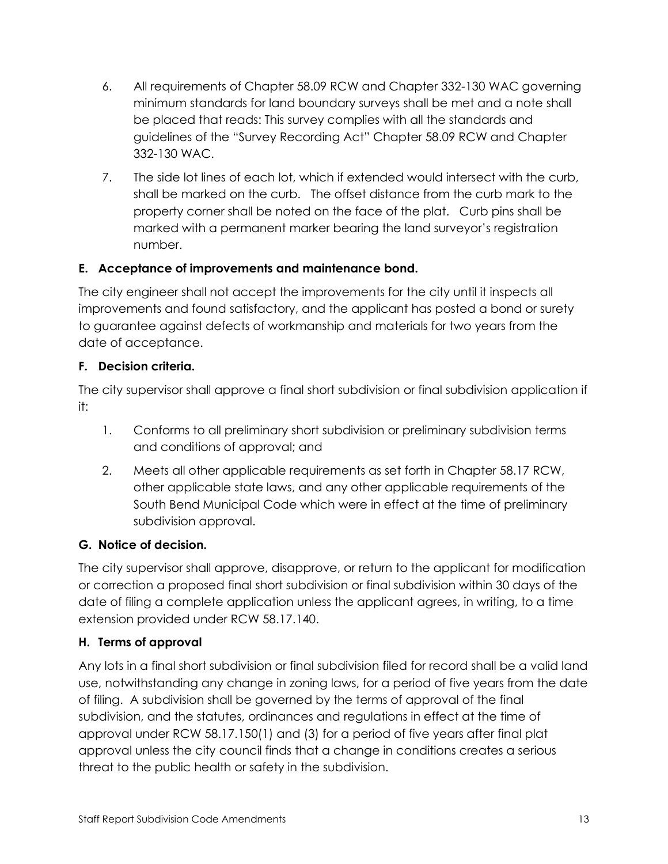- 6. All requirements of Chapter 58.09 RCW and Chapter 332-130 WAC governing minimum standards for land boundary surveys shall be met and a note shall be placed that reads: This survey complies with all the standards and guidelines of the "Survey Recording Act" Chapter 58.09 RCW and Chapter 332-130 WAC.
- 7. The side lot lines of each lot, which if extended would intersect with the curb, shall be marked on the curb. The offset distance from the curb mark to the property corner shall be noted on the face of the plat. Curb pins shall be marked with a permanent marker bearing the land surveyor's registration number.

# **E. Acceptance of improvements and maintenance bond.**

The city engineer shall not accept the improvements for the city until it inspects all improvements and found satisfactory, and the applicant has posted a bond or surety to guarantee against defects of workmanship and materials for two years from the date of acceptance.

# **F. Decision criteria.**

The city supervisor shall approve a final short subdivision or final subdivision application if it:

- 1. Conforms to all preliminary short subdivision or preliminary subdivision terms and conditions of approval; and
- 2. Meets all other applicable requirements as set forth in Chapter 58.17 RCW, other applicable state laws, and any other applicable requirements of the South Bend Municipal Code which were in effect at the time of preliminary subdivision approval.

# **G. Notice of decision.**

The city supervisor shall approve, disapprove, or return to the applicant for modification or correction a proposed final short subdivision or final subdivision within 30 days of the date of filing a complete application unless the applicant agrees, in writing, to a time extension provided under RCW 58.17.140.

# **H. Terms of approval**

Any lots in a final short subdivision or final subdivision filed for record shall be a valid land use, notwithstanding any change in zoning laws, for a period of five years from the date of filing. A subdivision shall be governed by the terms of approval of the final subdivision, and the statutes, ordinances and regulations in effect at the time of approval under RCW 58.17.150(1) and (3) for a period of five years after final plat approval unless the city council finds that a change in conditions creates a serious threat to the public health or safety in the subdivision.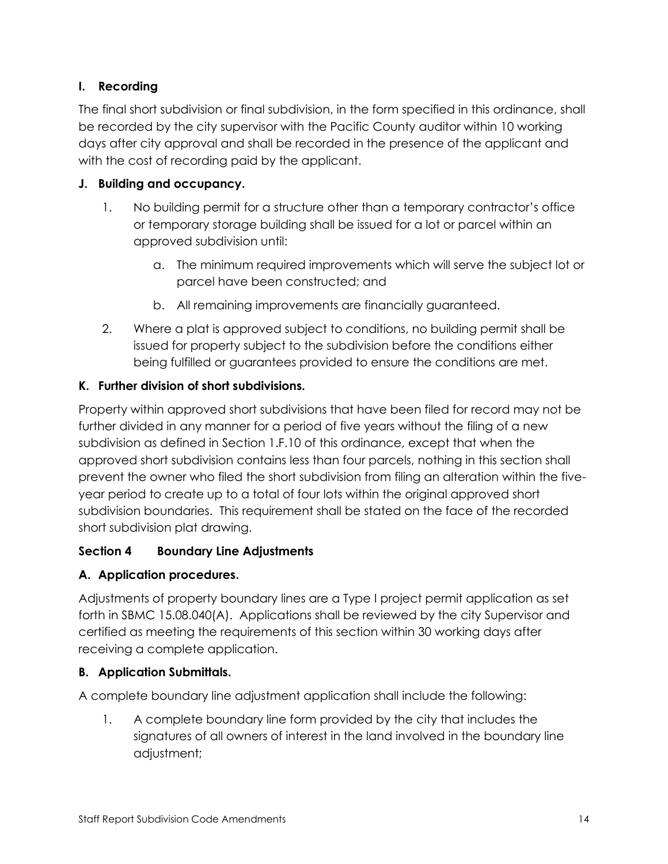# **I. Recording**

The final short subdivision or final subdivision, in the form specified in this ordinance, shall be recorded by the city supervisor with the Pacific County auditor within 10 working days after city approval and shall be recorded in the presence of the applicant and with the cost of recording paid by the applicant.

# **J. Building and occupancy.**

- 1. No building permit for a structure other than a temporary contractor's office or temporary storage building shall be issued for a lot or parcel within an approved subdivision until:
	- a. The minimum required improvements which will serve the subject lot or parcel have been constructed; and
	- b. All remaining improvements are financially guaranteed.
- 2. Where a plat is approved subject to conditions, no building permit shall be issued for property subject to the subdivision before the conditions either being fulfilled or guarantees provided to ensure the conditions are met.

# **K. Further division of short subdivisions.**

Property within approved short subdivisions that have been filed for record may not be further divided in any manner for a period of five years without the filing of a new subdivision as defined in Section 1.F.10 of this ordinance, except that when the approved short subdivision contains less than four parcels, nothing in this section shall prevent the owner who filed the short subdivision from filing an alteration within the fiveyear period to create up to a total of four lots within the original approved short subdivision boundaries. This requirement shall be stated on the face of the recorded short subdivision plat drawing.

# **Section 4 Boundary Line Adjustments**

# **A. Application procedures.**

Adjustments of property boundary lines are a Type I project permit application as set forth in SBMC 15.08.040(A). Applications shall be reviewed by the city Supervisor and certified as meeting the requirements of this section within 30 working days after receiving a complete application.

# **B. Application Submittals.**

A complete boundary line adjustment application shall include the following:

1. A complete boundary line form provided by the city that includes the signatures of all owners of interest in the land involved in the boundary line adjustment;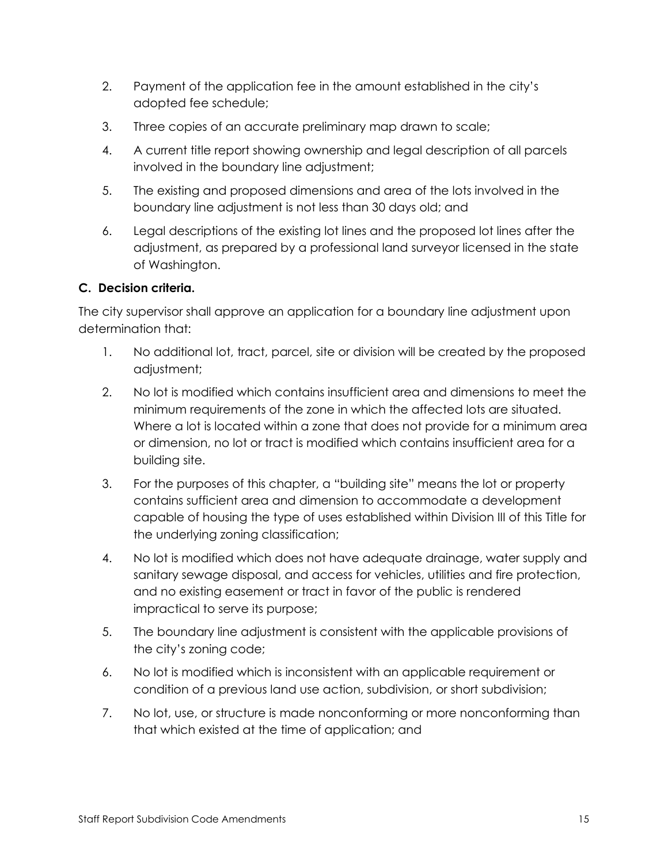- 2. Payment of the application fee in the amount established in the city's adopted fee schedule;
- 3. Three copies of an accurate preliminary map drawn to scale;
- 4. A current title report showing ownership and legal description of all parcels involved in the boundary line adjustment;
- 5. The existing and proposed dimensions and area of the lots involved in the boundary line adjustment is not less than 30 days old; and
- 6. Legal descriptions of the existing lot lines and the proposed lot lines after the adjustment, as prepared by a professional land surveyor licensed in the state of Washington.

# **C. Decision criteria.**

The city supervisor shall approve an application for a boundary line adjustment upon determination that:

- 1. No additional lot, tract, parcel, site or division will be created by the proposed adjustment;
- 2. No lot is modified which contains insufficient area and dimensions to meet the minimum requirements of the zone in which the affected lots are situated. Where a lot is located within a zone that does not provide for a minimum area or dimension, no lot or tract is modified which contains insufficient area for a building site.
- 3. For the purposes of this chapter, a "building site" means the lot or property contains sufficient area and dimension to accommodate a development capable of housing the type of uses established within Division III of this Title for the underlying zoning classification;
- 4. No lot is modified which does not have adequate drainage, water supply and sanitary sewage disposal, and access for vehicles, utilities and fire protection, and no existing easement or tract in favor of the public is rendered impractical to serve its purpose;
- 5. The boundary line adjustment is consistent with the applicable provisions of the city's zoning code;
- 6. No lot is modified which is inconsistent with an applicable requirement or condition of a previous land use action, subdivision, or short subdivision;
- 7. No lot, use, or structure is made nonconforming or more nonconforming than that which existed at the time of application; and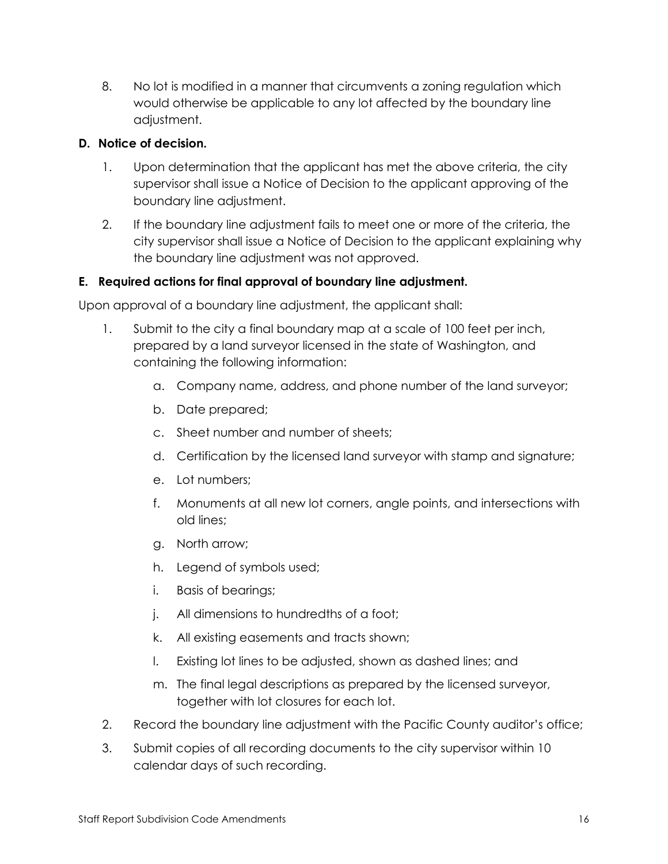8. No lot is modified in a manner that circumvents a zoning regulation which would otherwise be applicable to any lot affected by the boundary line adjustment.

## **D. Notice of decision.**

- 1. Upon determination that the applicant has met the above criteria, the city supervisor shall issue a Notice of Decision to the applicant approving of the boundary line adjustment.
- 2. If the boundary line adjustment fails to meet one or more of the criteria, the city supervisor shall issue a Notice of Decision to the applicant explaining why the boundary line adjustment was not approved.

# **E. Required actions for final approval of boundary line adjustment.**

Upon approval of a boundary line adjustment, the applicant shall:

- 1. Submit to the city a final boundary map at a scale of 100 feet per inch, prepared by a land surveyor licensed in the state of Washington, and containing the following information:
	- a. Company name, address, and phone number of the land surveyor;
	- b. Date prepared;
	- c. Sheet number and number of sheets;
	- d. Certification by the licensed land surveyor with stamp and signature;
	- e. Lot numbers;
	- f. Monuments at all new lot corners, angle points, and intersections with old lines;
	- g. North arrow;
	- h. Legend of symbols used;
	- i. Basis of bearings;
	- j. All dimensions to hundredths of a foot;
	- k. All existing easements and tracts shown;
	- l. Existing lot lines to be adjusted, shown as dashed lines; and
	- m. The final legal descriptions as prepared by the licensed surveyor, together with lot closures for each lot.
- 2. Record the boundary line adjustment with the Pacific County auditor's office;
- 3. Submit copies of all recording documents to the city supervisor within 10 calendar days of such recording.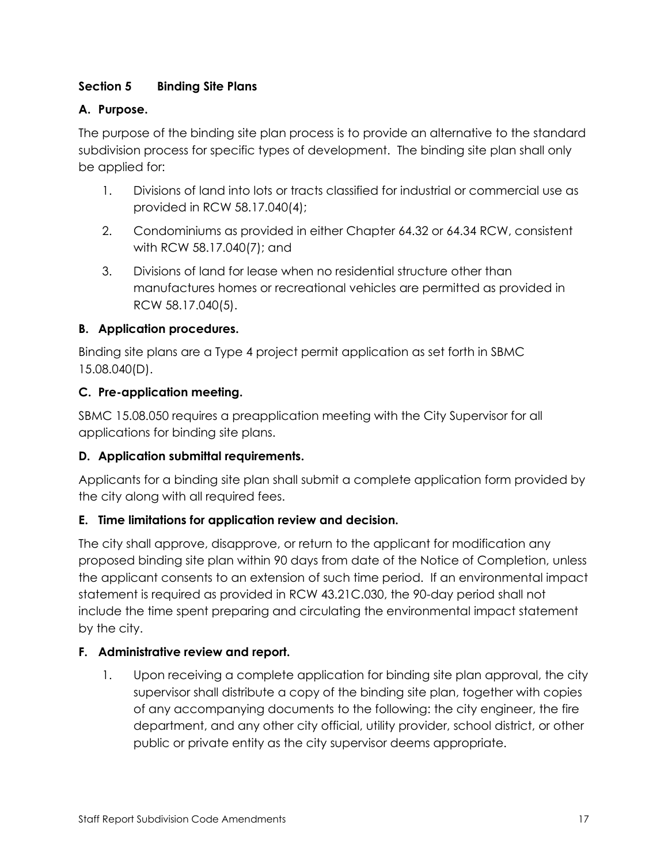## **Section 5 Binding Site Plans**

## **A. Purpose.**

The purpose of the binding site plan process is to provide an alternative to the standard subdivision process for specific types of development. The binding site plan shall only be applied for:

- 1. Divisions of land into lots or tracts classified for industrial or commercial use as provided in RCW 58.17.040(4);
- 2. Condominiums as provided in either Chapter 64.32 or 64.34 RCW, consistent with RCW 58.17.040(7); and
- 3. Divisions of land for lease when no residential structure other than manufactures homes or recreational vehicles are permitted as provided in RCW 58.17.040(5).

## **B. Application procedures.**

Binding site plans are a Type 4 project permit application as set forth in SBMC 15.08.040(D).

## **C. Pre-application meeting.**

SBMC 15.08.050 requires a preapplication meeting with the City Supervisor for all applications for binding site plans.

## **D. Application submittal requirements.**

Applicants for a binding site plan shall submit a complete application form provided by the city along with all required fees.

## **E. Time limitations for application review and decision.**

The city shall approve, disapprove, or return to the applicant for modification any proposed binding site plan within 90 days from date of the Notice of Completion, unless the applicant consents to an extension of such time period. If an environmental impact statement is required as provided in RCW 43.21C.030, the 90-day period shall not include the time spent preparing and circulating the environmental impact statement by the city.

## **F. Administrative review and report.**

1. Upon receiving a complete application for binding site plan approval, the city supervisor shall distribute a copy of the binding site plan, together with copies of any accompanying documents to the following: the city engineer, the fire department, and any other city official, utility provider, school district, or other public or private entity as the city supervisor deems appropriate.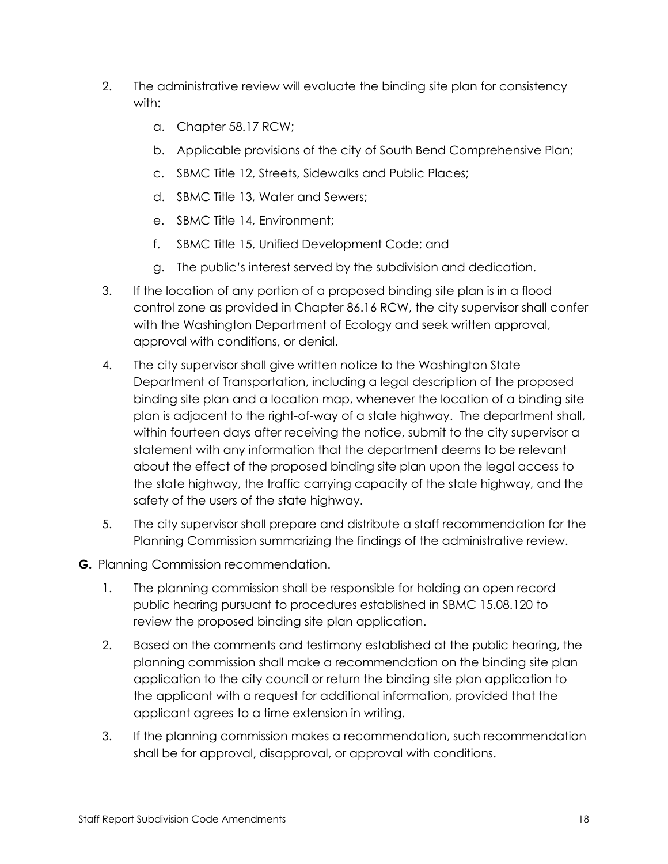- 2. The administrative review will evaluate the binding site plan for consistency with:
	- a. Chapter 58.17 RCW;
	- b. Applicable provisions of the city of South Bend Comprehensive Plan;
	- c. SBMC Title 12, Streets, Sidewalks and Public Places;
	- d. SBMC Title 13, Water and Sewers;
	- e. SBMC Title 14, Environment;
	- f. SBMC Title 15, Unified Development Code; and
	- g. The public's interest served by the subdivision and dedication.
- 3. If the location of any portion of a proposed binding site plan is in a flood control zone as provided in Chapter 86.16 RCW, the city supervisor shall confer with the Washington Department of Ecology and seek written approval, approval with conditions, or denial.
- 4. The city supervisor shall give written notice to the Washington State Department of Transportation, including a legal description of the proposed binding site plan and a location map, whenever the location of a binding site plan is adjacent to the right-of-way of a state highway. The department shall, within fourteen days after receiving the notice, submit to the city supervisor a statement with any information that the department deems to be relevant about the effect of the proposed binding site plan upon the legal access to the state highway, the traffic carrying capacity of the state highway, and the safety of the users of the state highway.
- 5. The city supervisor shall prepare and distribute a staff recommendation for the Planning Commission summarizing the findings of the administrative review.
- **G.** Planning Commission recommendation.
	- 1. The planning commission shall be responsible for holding an open record public hearing pursuant to procedures established in SBMC 15.08.120 to review the proposed binding site plan application.
	- 2. Based on the comments and testimony established at the public hearing, the planning commission shall make a recommendation on the binding site plan application to the city council or return the binding site plan application to the applicant with a request for additional information, provided that the applicant agrees to a time extension in writing.
	- 3. If the planning commission makes a recommendation, such recommendation shall be for approval, disapproval, or approval with conditions.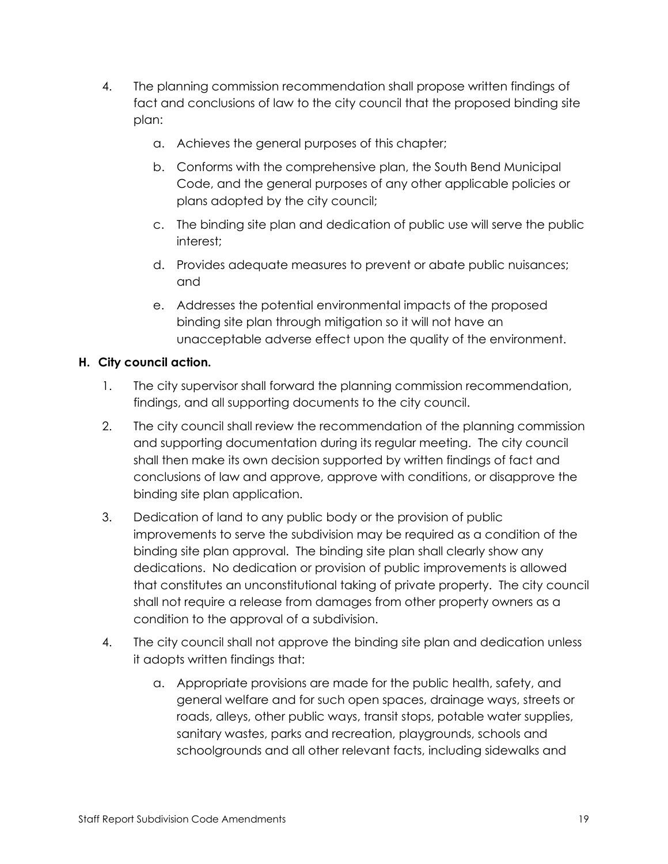- 4. The planning commission recommendation shall propose written findings of fact and conclusions of law to the city council that the proposed binding site plan:
	- a. Achieves the general purposes of this chapter;
	- b. Conforms with the comprehensive plan, the South Bend Municipal Code, and the general purposes of any other applicable policies or plans adopted by the city council;
	- c. The binding site plan and dedication of public use will serve the public interest;
	- d. Provides adequate measures to prevent or abate public nuisances; and
	- e. Addresses the potential environmental impacts of the proposed binding site plan through mitigation so it will not have an unacceptable adverse effect upon the quality of the environment.

## **H. City council action.**

- 1. The city supervisor shall forward the planning commission recommendation, findings, and all supporting documents to the city council.
- 2. The city council shall review the recommendation of the planning commission and supporting documentation during its regular meeting. The city council shall then make its own decision supported by written findings of fact and conclusions of law and approve, approve with conditions, or disapprove the binding site plan application.
- 3. Dedication of land to any public body or the provision of public improvements to serve the subdivision may be required as a condition of the binding site plan approval. The binding site plan shall clearly show any dedications. No dedication or provision of public improvements is allowed that constitutes an unconstitutional taking of private property. The city council shall not require a release from damages from other property owners as a condition to the approval of a subdivision.
- 4. The city council shall not approve the binding site plan and dedication unless it adopts written findings that:
	- a. Appropriate provisions are made for the public health, safety, and general welfare and for such open spaces, drainage ways, streets or roads, alleys, other public ways, transit stops, potable water supplies, sanitary wastes, parks and recreation, playgrounds, schools and schoolgrounds and all other relevant facts, including sidewalks and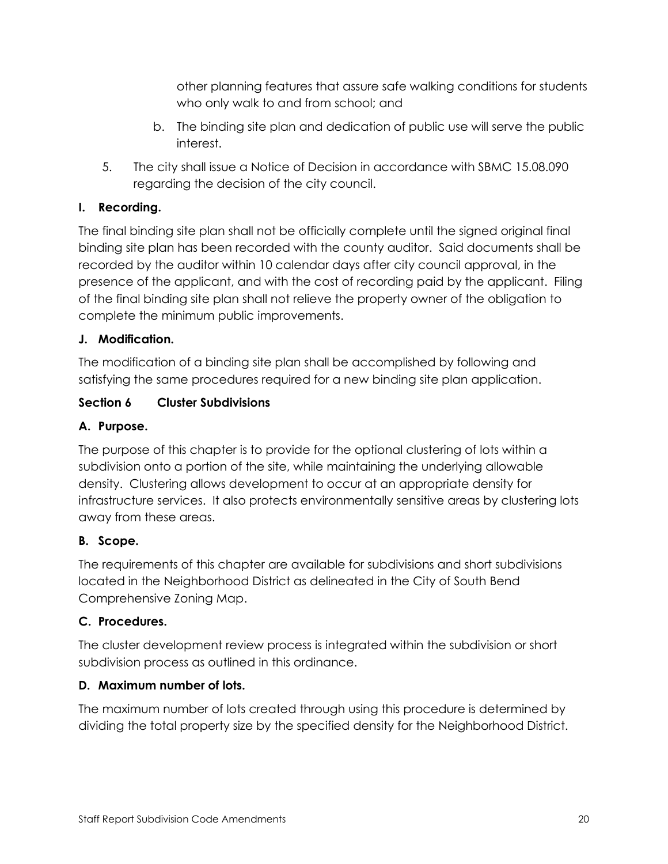other planning features that assure safe walking conditions for students who only walk to and from school; and

- b. The binding site plan and dedication of public use will serve the public interest.
- 5. The city shall issue a Notice of Decision in accordance with SBMC 15.08.090 regarding the decision of the city council.

# **I. Recording.**

The final binding site plan shall not be officially complete until the signed original final binding site plan has been recorded with the county auditor. Said documents shall be recorded by the auditor within 10 calendar days after city council approval, in the presence of the applicant, and with the cost of recording paid by the applicant. Filing of the final binding site plan shall not relieve the property owner of the obligation to complete the minimum public improvements.

# **J. Modification.**

The modification of a binding site plan shall be accomplished by following and satisfying the same procedures required for a new binding site plan application.

# **Section 6 Cluster Subdivisions**

## **A. Purpose.**

The purpose of this chapter is to provide for the optional clustering of lots within a subdivision onto a portion of the site, while maintaining the underlying allowable density. Clustering allows development to occur at an appropriate density for infrastructure services. It also protects environmentally sensitive areas by clustering lots away from these areas.

# **B. Scope.**

The requirements of this chapter are available for subdivisions and short subdivisions located in the Neighborhood District as delineated in the City of South Bend Comprehensive Zoning Map.

## **C. Procedures.**

The cluster development review process is integrated within the subdivision or short subdivision process as outlined in this ordinance.

## **D. Maximum number of lots.**

The maximum number of lots created through using this procedure is determined by dividing the total property size by the specified density for the Neighborhood District.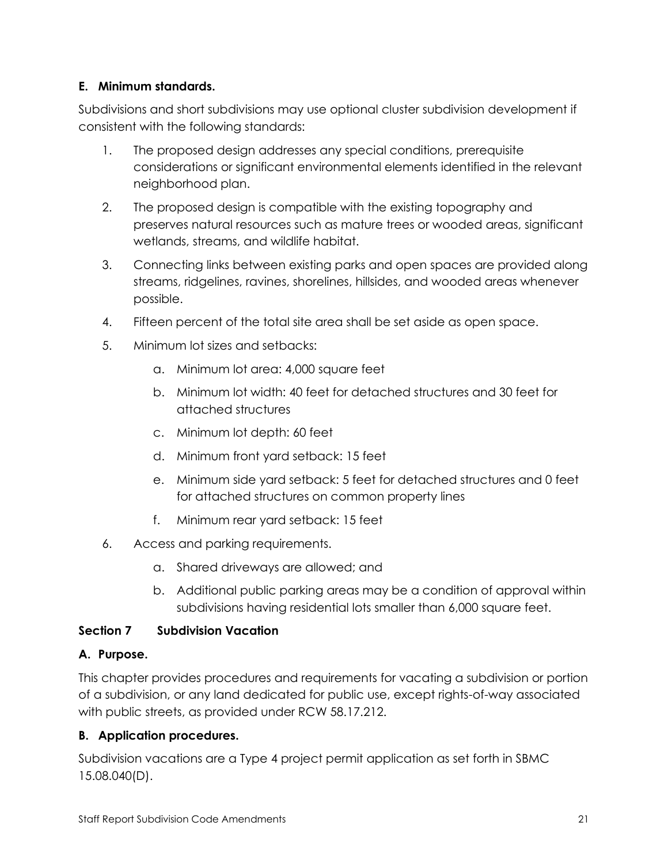## **E. Minimum standards.**

Subdivisions and short subdivisions may use optional cluster subdivision development if consistent with the following standards:

- 1. The proposed design addresses any special conditions, prerequisite considerations or significant environmental elements identified in the relevant neighborhood plan.
- 2. The proposed design is compatible with the existing topography and preserves natural resources such as mature trees or wooded areas, significant wetlands, streams, and wildlife habitat.
- 3. Connecting links between existing parks and open spaces are provided along streams, ridgelines, ravines, shorelines, hillsides, and wooded areas whenever possible.
- 4. Fifteen percent of the total site area shall be set aside as open space.
- 5. Minimum lot sizes and setbacks:
	- a. Minimum lot area: 4,000 square feet
	- b. Minimum lot width: 40 feet for detached structures and 30 feet for attached structures
	- c. Minimum lot depth: 60 feet
	- d. Minimum front yard setback: 15 feet
	- e. Minimum side yard setback: 5 feet for detached structures and 0 feet for attached structures on common property lines
	- f. Minimum rear yard setback: 15 feet
- 6. Access and parking requirements.
	- a. Shared driveways are allowed; and
	- b. Additional public parking areas may be a condition of approval within subdivisions having residential lots smaller than 6,000 square feet.

## **Section 7 Subdivision Vacation**

# **A. Purpose.**

This chapter provides procedures and requirements for vacating a subdivision or portion of a subdivision, or any land dedicated for public use, except rights-of-way associated with public streets, as provided under RCW 58.17.212.

# **B. Application procedures.**

Subdivision vacations are a Type 4 project permit application as set forth in SBMC 15.08.040(D).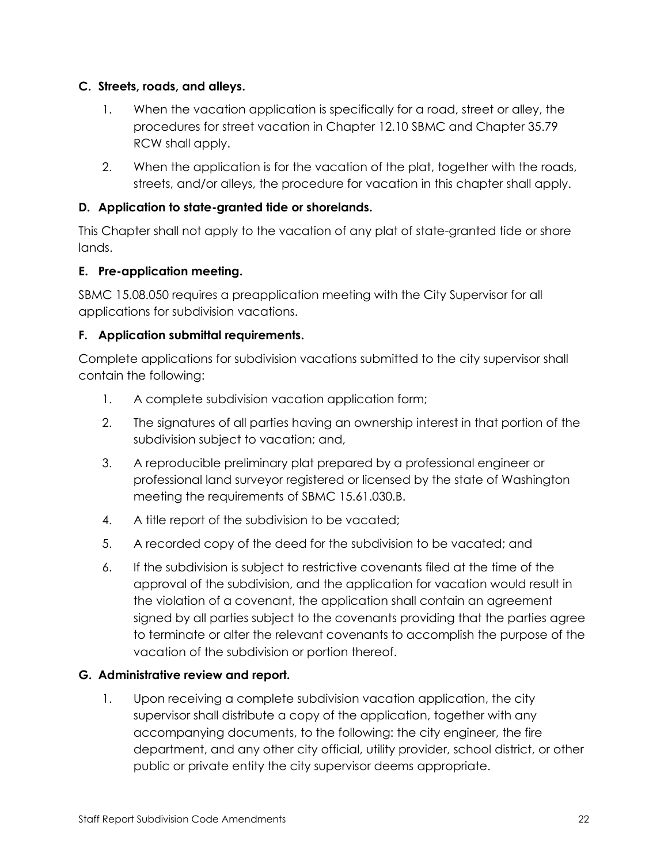## **C. Streets, roads, and alleys.**

- 1. When the vacation application is specifically for a road, street or alley, the procedures for street vacation in Chapter 12.10 SBMC and Chapter 35.79 RCW shall apply.
- 2. When the application is for the vacation of the plat, together with the roads, streets, and/or alleys, the procedure for vacation in this chapter shall apply.

## **D. Application to state-granted tide or shorelands.**

This Chapter shall not apply to the vacation of any plat of state-granted tide or shore lands.

## **E. Pre-application meeting.**

SBMC 15.08.050 requires a preapplication meeting with the City Supervisor for all applications for subdivision vacations.

## **F. Application submittal requirements.**

Complete applications for subdivision vacations submitted to the city supervisor shall contain the following:

- 1. A complete subdivision vacation application form;
- 2. The signatures of all parties having an ownership interest in that portion of the subdivision subject to vacation; and,
- 3. A reproducible preliminary plat prepared by a professional engineer or professional land surveyor registered or licensed by the state of Washington meeting the requirements of SBMC 15.61.030.B.
- 4. A title report of the subdivision to be vacated;
- 5. A recorded copy of the deed for the subdivision to be vacated; and
- 6. If the subdivision is subject to restrictive covenants filed at the time of the approval of the subdivision, and the application for vacation would result in the violation of a covenant, the application shall contain an agreement signed by all parties subject to the covenants providing that the parties agree to terminate or alter the relevant covenants to accomplish the purpose of the vacation of the subdivision or portion thereof.

# **G. Administrative review and report.**

1. Upon receiving a complete subdivision vacation application, the city supervisor shall distribute a copy of the application, together with any accompanying documents, to the following: the city engineer, the fire department, and any other city official, utility provider, school district, or other public or private entity the city supervisor deems appropriate.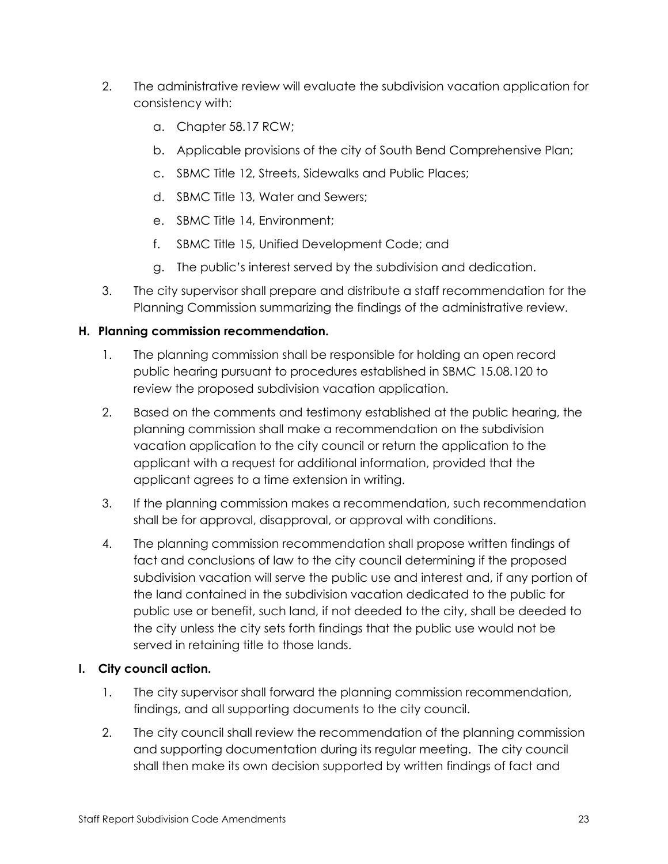- 2. The administrative review will evaluate the subdivision vacation application for consistency with:
	- a. Chapter 58.17 RCW;
	- b. Applicable provisions of the city of South Bend Comprehensive Plan;
	- c. SBMC Title 12, Streets, Sidewalks and Public Places;
	- d. SBMC Title 13, Water and Sewers;
	- e. SBMC Title 14, Environment;
	- f. SBMC Title 15, Unified Development Code; and
	- g. The public's interest served by the subdivision and dedication.
- 3. The city supervisor shall prepare and distribute a staff recommendation for the Planning Commission summarizing the findings of the administrative review.

## **H. Planning commission recommendation.**

- 1. The planning commission shall be responsible for holding an open record public hearing pursuant to procedures established in SBMC 15.08.120 to review the proposed subdivision vacation application.
- 2. Based on the comments and testimony established at the public hearing, the planning commission shall make a recommendation on the subdivision vacation application to the city council or return the application to the applicant with a request for additional information, provided that the applicant agrees to a time extension in writing.
- 3. If the planning commission makes a recommendation, such recommendation shall be for approval, disapproval, or approval with conditions.
- 4. The planning commission recommendation shall propose written findings of fact and conclusions of law to the city council determining if the proposed subdivision vacation will serve the public use and interest and, if any portion of the land contained in the subdivision vacation dedicated to the public for public use or benefit, such land, if not deeded to the city, shall be deeded to the city unless the city sets forth findings that the public use would not be served in retaining title to those lands.

## **I. City council action.**

- 1. The city supervisor shall forward the planning commission recommendation, findings, and all supporting documents to the city council.
- 2. The city council shall review the recommendation of the planning commission and supporting documentation during its regular meeting. The city council shall then make its own decision supported by written findings of fact and